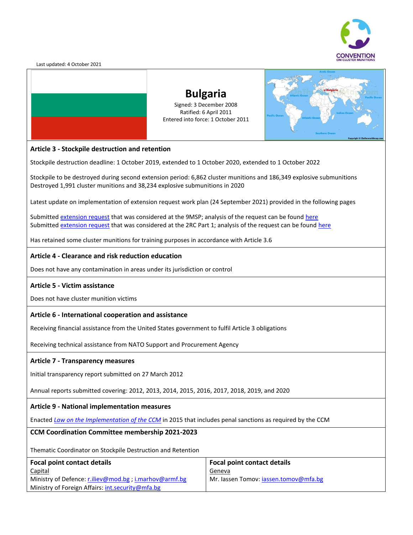

Last updated: 4 October 2021



### **Bulgaria** Signed: 3 December 2008 Ratified: 6 April 2011 Entered into force: 1 October 2011



### **Article 3 - Stockpile destruction and retention**

Stockpile destruction deadline: 1 October 2019, extended to 1 October 2020, extended to 1 October 2022

Stockpile to be destroyed during second extension period: 6,862 cluster munitions and 186,349 explosive submunitions Destroyed 1,991 cluster munitions and 38,234 explosive submunitions in 2020

Latest update on implementation of extension request work plan (24 September 2021) provided in the following pages

Submitte[d extension request](http://www.clusterconvention.org/9msp/) that was considered at the 9MSP; analysis of the request can be found [here](http://www.clusterconvention.org/wp-content/uploads/2019/06/CCMMSP201910AnalysisofBulgaria%E2%80%99srequestofdeadlineextensionunderArticle3oftheConventiononClusterMunitionsENG.pdf) Submitte[d extension request](https://www.clusterconvention.org/er2rcp1/) that was considered at the 2RC Part 1; analysis of the request can be found [here](https://undocs.org/en/CCM/CONF/2020/5)

Has retained some cluster munitions for training purposes in accordance with Article 3.6

### **Article 4 - Clearance and risk reduction education**

Does not have any contamination in areas under its jurisdiction or control

### **Article 5 - Victim assistance**

Does not have cluster munition victims

### **Article 6 - International cooperation and assistance**

Receiving financial assistance from the United States government to fulfil Article 3 obligations

Receiving technical assistance from NATO Support and Procurement Agency

### **Article 7 - Transparency measures**

Initial transparency report submitted on 27 March 2012

Annual reports submitted covering: 2012, 2013, 2014, 2015, 2016, 2017, 2018, 2019, and 2020

### **Article 9 - National implementation measures**

Enacted *[Law on the Implementation of the CCM](https://www.clusterconvention.org/wp-content/uploads/2021/05/Bulgaria-with-2019-amendments.pdf)* in 2015 that includes penal sanctions as required by the CCM

### **CCM Coordination Committee membership 2021-2023**

Thematic Coordinator on Stockpile Destruction and Retention

| Focal point contact details                           | Focal point contact details           |
|-------------------------------------------------------|---------------------------------------|
| <b>Capital</b>                                        | <u>Geneva</u>                         |
| Ministry of Defence: r.iliev@mod.bg; i.marhov@armf.bg | Mr. lassen Tomov: jassen.tomov@mfa.bg |
| Ministry of Foreign Affairs: int.security@mfa.bg      |                                       |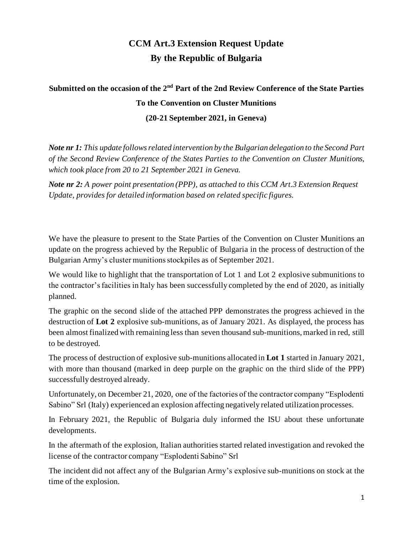### **CCM Art.3 Extension Request Update By the Republic of Bulgaria**

**Submitted on the occasion of the 2nd Part of the 2nd Review Conference of the State Parties To the Convention on Cluster Munitions**

**(20-21 September 2021, in Geneva)**

*Note nr 1: This update follows related intervention by the Bulgarian delegation to the Second Part of the Second Review Conference of the States Parties to the Convention on Cluster Munitions, which took place from 20 to 21 September 2021 in Geneva.* 

*Note nr 2: A power point presentation (PPP), as attached to this CCM Art.3 Extension Request Update, provides for detailed information based on related specific figures.* 

We have the pleasure to present to the State Parties of the Convention on Cluster Munitions an update on the progress achieved by the Republic of Bulgaria in the process of destruction of the Bulgarian Army's cluster munitions stockpiles as of September 2021.

We would like to highlight that the transportation of Lot 1 and Lot 2 explosive submunitions to the contractor's facilities in Italy has been successfully completed by the end of 2020, as initially planned.

The graphic on the second slide of the attached PPP demonstrates the progress achieved in the destruction of **Lot 2** explosive sub-munitions, as of January 2021. As displayed, the process has been almost finalized with remaining less than seven thousand sub-munitions, marked in red, still to be destroyed.

The process of destruction of explosive sub-munitions allocated in **Lot 1** started in January 2021, with more than thousand (marked in deep purple on the graphic on the third slide of the PPP) successfully destroyed already.

Unfortunately, on December 21, 2020, one of the factories of the contractor company "Esplodenti Sabino" Srl (Italy) experienced an explosion affecting negatively related utilization processes.

In February 2021, the Republic of Bulgaria duly informed the ISU about these unfortunate developments.

In the aftermath of the explosion, Italian authorities started related investigation and revoked the license of the contractor company "Esplodenti Sabino" Srl

The incident did not affect any of the Bulgarian Army's explosive sub-munitions on stock at the time of the explosion.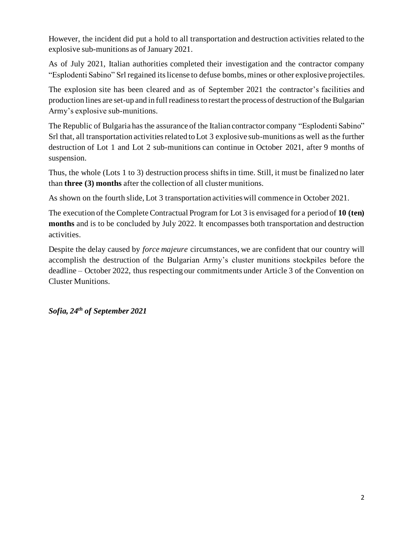However, the incident did put a hold to all transportation and destruction activities related to the explosive sub-munitions as of January 2021.

As of July 2021, Italian authorities completed their investigation and the contractor company "Esplodenti Sabino" Srl regained its license to defuse bombs, mines or other explosive projectiles.

The explosion site has been cleared and as of September 2021 the contractor's facilities and production lines are set-up and in full readinessto restart the process of destruction of the Bulgarian Army's explosive sub-munitions.

The Republic of Bulgaria has the assurance of the Italian contractor company "Esplodenti Sabino" Srl that, all transportation activities related to Lot 3 explosive sub-munitions as well as the further destruction of Lot 1 and Lot 2 sub-munitions can continue in October 2021, after 9 months of suspension.

Thus, the whole (Lots 1 to 3) destruction process shifts in time. Still, it must be finalized no later than **three (3) months** after the collection of all cluster munitions.

As shown on the fourth slide, Lot 3 transportation activities will commence in October 2021.

The execution of the Complete Contractual Program for Lot 3 is envisaged for a period of **10 (ten) months** and is to be concluded by July 2022. It encompasses both transportation and destruction activities.

Despite the delay caused by *force majeure* circumstances, we are confident that our country will accomplish the destruction of the Bulgarian Army's cluster munitions stockpiles before the deadline – October 2022, thus respecting our commitments under Article 3 of the Convention on Cluster Munitions.

*Sofia, 24th of September 2021*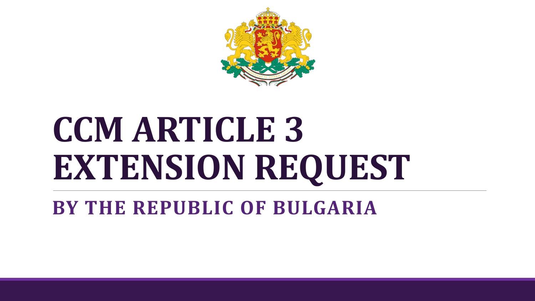

### **CCM ARTICLE 3 EXTENSION REQUEST**

**BY THE REPUBLIC OF BULGARIA**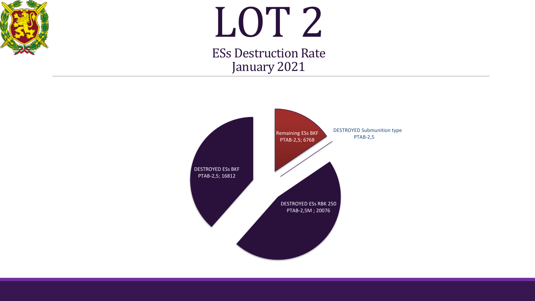

## LOT 2

ESs Destruction Rate January 2021

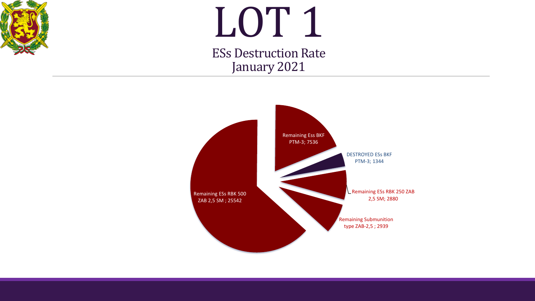

# LOT 1

ESs Destruction Rate January 2021